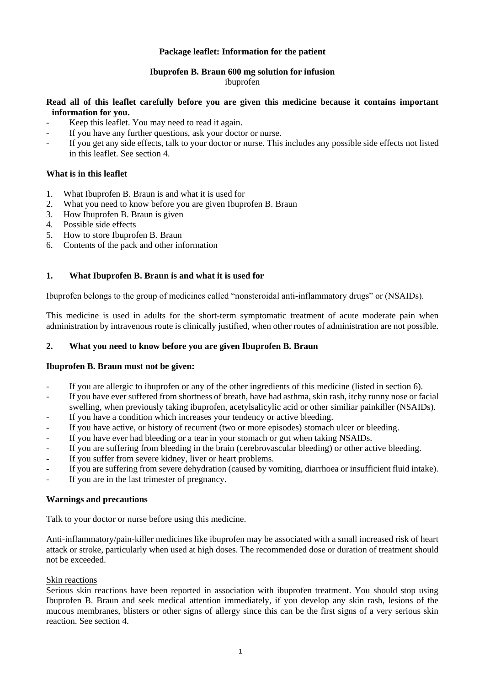## **Package leaflet: Information for the patient**

# **Ibuprofen B. Braun 600 mg solution for infusion**

#### ibuprofen

## **Read all of this leaflet carefully before you are given this medicine because it contains important information for you.**

- Keep this leaflet. You may need to read it again.
- If you have any further questions, ask your doctor or nurse.
- If you get any side effects, talk to your doctor or nurse. This includes any possible side effects not listed in this leaflet. See section 4.

## **What is in this leaflet**

- 1. What Ibuprofen B. Braun is and what it is used for
- 2. What you need to know before you are given Ibuprofen B. Braun
- 3. How Ibuprofen B. Braun is given
- 4. Possible side effects
- 5. How to store Ibuprofen B. Braun
- 6. Contents of the pack and other information

## **1. What Ibuprofen B. Braun is and what it is used for**

Ibuprofen belongs to the group of medicines called "nonsteroidal anti-inflammatory drugs" or (NSAIDs).

This medicine is used in adults for the short-term symptomatic treatment of acute moderate pain when administration by intravenous route is clinically justified, when other routes of administration are not possible.

#### **2. What you need to know before you are given Ibuprofen B. Braun**

#### **Ibuprofen B. Braun must not be given:**

- If you are allergic to ibuprofen or any of the other ingredients of this medicine (listed in section 6).
- If you have ever suffered from shortness of breath, have had asthma, skin rash, itchy runny nose or facial swelling, when previously taking ibuprofen, acetylsalicylic acid or other similiar painkiller (NSAIDs).
- If you have a condition which increases your tendency or active bleeding.
- If you have active, or history of recurrent (two or more episodes) stomach ulcer or bleeding.
- If you have ever had bleeding or a tear in your stomach or gut when taking NSAIDs.
- If you are suffering from bleeding in the brain (cerebrovascular bleeding) or other active bleeding.
- If you suffer from severe kidney, liver or heart problems.
- If you are suffering from severe dehydration (caused by vomiting, diarrhoea or insufficient fluid intake).
- If you are in the last trimester of pregnancy.

#### **Warnings and precautions**

Talk to your doctor or nurse before using this medicine.

Anti-inflammatory/pain-killer medicines like ibuprofen may be associated with a small increased risk of heart attack or stroke, particularly when used at high doses. The recommended dose or duration of treatment should not be exceeded.

#### Skin reactions

Serious skin reactions have been reported in association with ibuprofen treatment. You should stop using Ibuprofen B. Braun and seek medical attention immediately, if you develop any skin rash, lesions of the mucous membranes, blisters or other signs of allergy since this can be the first signs of a very serious skin reaction. See section 4.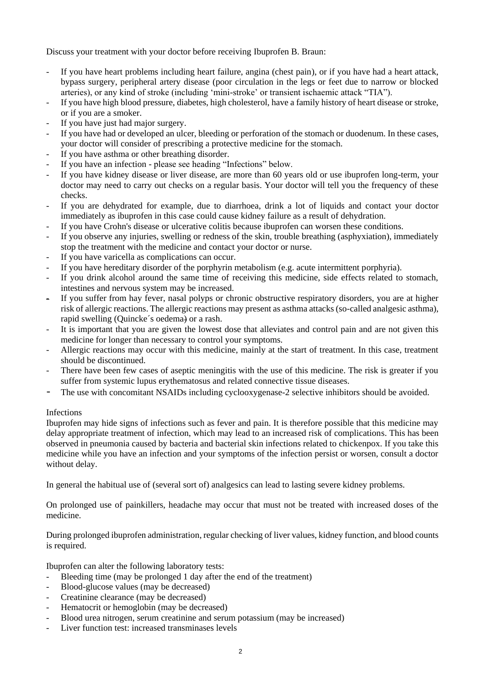Discuss your treatment with your doctor before receiving Ibuprofen B. Braun:

- If you have heart problems including heart failure, angina (chest pain), or if you have had a heart attack, bypass surgery, peripheral artery disease (poor circulation in the legs or feet due to narrow or blocked arteries), or any kind of stroke (including 'mini-stroke' or transient ischaemic attack "TIA").
- If you have high blood pressure, diabetes, high cholesterol, have a family history of heart disease or stroke, or if you are a smoker.
- If you have just had major surgery.
- If you have had or developed an ulcer, bleeding or perforation of the stomach or duodenum. In these cases, your doctor will consider of prescribing a protective medicine for the stomach.
- If you have asthma or other breathing disorder.
- If you have an infection please see heading "Infections" below.
- If you have kidney disease or liver disease, are more than 60 years old or use ibuprofen long-term, your doctor may need to carry out checks on a regular basis. Your doctor will tell you the frequency of these checks.
- If you are dehydrated for example, due to diarrhoea, drink a lot of liquids and contact your doctor immediately as ibuprofen in this case could cause kidney failure as a result of dehydration.
- If you have Crohn's disease or ulcerative colitis because ibuprofen can worsen these conditions.
- If you observe any injuries, swelling or redness of the skin, trouble breathing (asphyxiation), immediately stop the treatment with the medicine and contact your doctor or nurse.
- If you have varicella as complications can occur.
- If you have hereditary disorder of the porphyrin metabolism (e.g. acute intermittent porphyria).
- If you drink alcohol around the same time of receiving this medicine, side effects related to stomach, intestines and nervous system may be increased.
- If you suffer from hay fever, nasal polyps or chronic obstructive respiratory disorders, you are at higher risk of allergic reactions. The allergic reactions may present as asthma attacks (so-called analgesic asthma), rapid swelling (Quincke´s oedema) or a rash.
- It is important that you are given the lowest dose that alleviates and control pain and are not given this medicine for longer than necessary to control your symptoms.
- Allergic reactions may occur with this medicine, mainly at the start of treatment. In this case, treatment should be discontinued.
- There have been few cases of aseptic meningitis with the use of this medicine. The risk is greater if you suffer from systemic lupus erythematosus and related connective tissue diseases.
- The use with concomitant NSAIDs including cyclooxygenase-2 selective inhibitors should be avoided.

# Infections

Ibuprofen may hide signs of infections such as fever and pain. It is therefore possible that this medicine may delay appropriate treatment of infection, which may lead to an increased risk of complications. This has been observed in pneumonia caused by bacteria and bacterial skin infections related to chickenpox. If you take this medicine while you have an infection and your symptoms of the infection persist or worsen, consult a doctor without delay.

In general the habitual use of (several sort of) analgesics can lead to lasting severe kidney problems.

On prolonged use of painkillers, headache may occur that must not be treated with increased doses of the medicine.

During prolonged ibuprofen administration, regular checking of liver values, kidney function, and blood counts is required.

Ibuprofen can alter the following laboratory tests:

- Bleeding time (may be prolonged 1 day after the end of the treatment)
- Blood-glucose values (may be decreased)
- Creatinine clearance (may be decreased)
- Hematocrit or hemoglobin (may be decreased)
- Blood urea nitrogen, serum creatinine and serum potassium (may be increased)
- Liver function test: increased transminases levels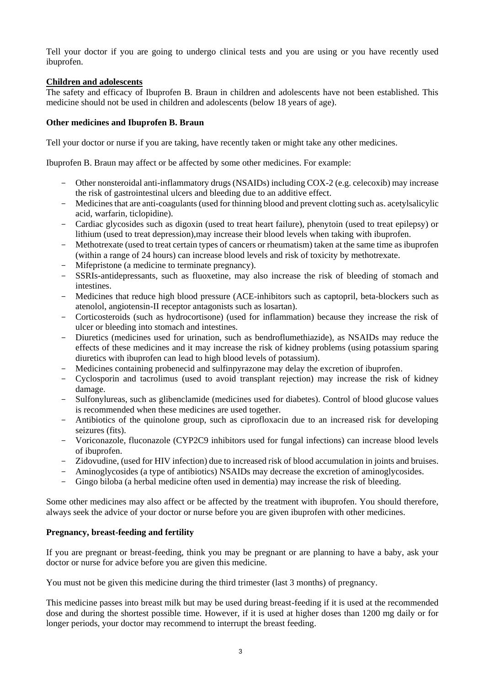Tell your doctor if you are going to undergo clinical tests and you are using or you have recently used ibuprofen.

## **Children and adolescents**

The safety and efficacy of Ibuprofen B. Braun in children and adolescents have not been established. This medicine should not be used in children and adolescents (below 18 years of age).

## **Other medicines and Ibuprofen B. Braun**

Tell your doctor or nurse if you are taking, have recently taken or might take any other medicines.

Ibuprofen B. Braun may affect or be affected by some other medicines. For example:

- Other nonsteroidal anti-inflammatory drugs (NSAIDs) including COX-2 (e.g. celecoxib) may increase the risk of gastrointestinal ulcers and bleeding due to an additive effect.
- Medicines that are anti-coagulants (used for thinning blood and prevent clotting such as. acetylsalicylic acid, warfarin, ticlopidine).
- Cardiac glycosides such as digoxin (used to treat heart failure), phenytoin (used to treat epilepsy) or lithium (used to treat depression),may increase their blood levels when taking with ibuprofen.
- Methotrexate (used to treat certain types of cancers or rheumatism) taken at the same time as ibuprofen (within a range of 24 hours) can increase blood levels and risk of toxicity by methotrexate.
- Mifepristone (a medicine to terminate pregnancy).
- SSRIs-antidepressants, such as fluoxetine, may also increase the risk of bleeding of stomach and intestines.
- Medicines that reduce high blood pressure (ACE-inhibitors such as captopril, beta-blockers such as atenolol, angiotensin-II receptor antagonists such as losartan).
- Corticosteroids (such as hydrocortisone) (used for inflammation) because they increase the risk of ulcer or bleeding into stomach and intestines.
- Diuretics (medicines used for urination, such as bendroflumethiazide), as NSAIDs may reduce the effects of these medicines and it may increase the risk of kidney problems (using potassium sparing diuretics with ibuprofen can lead to high blood levels of potassium).
- Medicines containing probenecid and sulfinpyrazone may delay the excretion of ibuprofen.
- Cyclosporin and tacrolimus (used to avoid transplant rejection) may increase the risk of kidney damage.
- Sulfonylureas, such as glibenclamide (medicines used for diabetes). Control of blood glucose values is recommended when these medicines are used together.
- Antibiotics of the quinolone group, such as ciprofloxacin due to an increased risk for developing seizures (fits).
- Voriconazole, fluconazole (CYP2C9 inhibitors used for fungal infections) can increase blood levels of ibuprofen.
- Zidovudine, (used for HIV infection) due to increased risk of blood accumulation in joints and bruises.
- Aminoglycosides (a type of antibiotics) NSAIDs may decrease the excretion of aminoglycosides.
- Gingo biloba (a herbal medicine often used in dementia) may increase the risk of bleeding.

Some other medicines may also affect or be affected by the treatment with ibuprofen. You should therefore, always seek the advice of your doctor or nurse before you are given ibuprofen with other medicines.

#### **Pregnancy, breast-feeding and fertility**

If you are pregnant or breast-feeding, think you may be pregnant or are planning to have a baby, ask your doctor or nurse for advice before you are given this medicine.

You must not be given this medicine during the third trimester (last 3 months) of pregnancy.

This medicine passes into breast milk but may be used during breast-feeding if it is used at the recommended dose and during the shortest possible time. However, if it is used at higher doses than 1200 mg daily or for longer periods, your doctor may recommend to interrupt the breast feeding.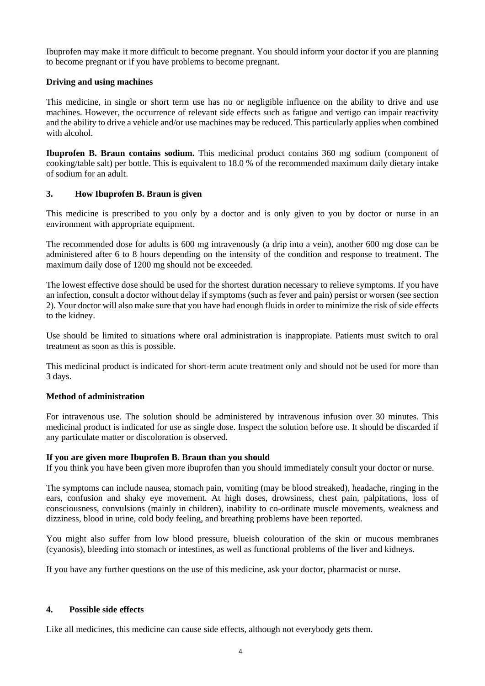Ibuprofen may make it more difficult to become pregnant. You should inform your doctor if you are planning to become pregnant or if you have problems to become pregnant.

#### **Driving and using machines**

This medicine, in single or short term use has no or negligible influence on the ability to drive and use machines. However, the occurrence of relevant side effects such as fatigue and vertigo can impair reactivity and the ability to drive a vehicle and/or use machines may be reduced. This particularly applies when combined with alcohol.

**Ibuprofen B. Braun contains sodium.** This medicinal product contains 360 mg sodium (component of cooking/table salt) per bottle. This is equivalent to 18.0 % of the recommended maximum daily dietary intake of sodium for an adult.

## **3. How Ibuprofen B. Braun is given**

This medicine is prescribed to you only by a doctor and is only given to you by doctor or nurse in an environment with appropriate equipment.

The recommended dose for adults is 600 mg intravenously (a drip into a vein), another 600 mg dose can be administered after 6 to 8 hours depending on the intensity of the condition and response to treatment. The maximum daily dose of 1200 mg should not be exceeded.

The lowest effective dose should be used for the shortest duration necessary to relieve symptoms. If you have an infection, consult a doctor without delay if symptoms (such as fever and pain) persist or worsen (see section 2). Your doctor will also make sure that you have had enough fluids in order to minimize the risk of side effects to the kidney.

Use should be limited to situations where oral administration is inappropiate. Patients must switch to oral treatment as soon as this is possible.

This medicinal product is indicated for short-term acute treatment only and should not be used for more than 3 days.

#### **Method of administration**

For intravenous use. The solution should be administered by intravenous infusion over 30 minutes. This medicinal product is indicated for use as single dose. Inspect the solution before use. It should be discarded if any particulate matter or discoloration is observed.

#### **If you are given more Ibuprofen B. Braun than you should**

If you think you have been given more ibuprofen than you should immediately consult your doctor or nurse.

The symptoms can include nausea, stomach pain, vomiting (may be blood streaked), headache, ringing in the ears, confusion and shaky eye movement. At high doses, drowsiness, chest pain, palpitations, loss of consciousness, convulsions (mainly in children), inability to co-ordinate muscle movements, weakness and dizziness, blood in urine, cold body feeling, and breathing problems have been reported.

You might also suffer from low blood pressure, blueish colouration of the skin or mucous membranes (cyanosis), bleeding into stomach or intestines, as well as functional problems of the liver and kidneys.

If you have any further questions on the use of this medicine, ask your doctor, pharmacist or nurse.

#### **4. Possible side effects**

Like all medicines, this medicine can cause side effects, although not everybody gets them.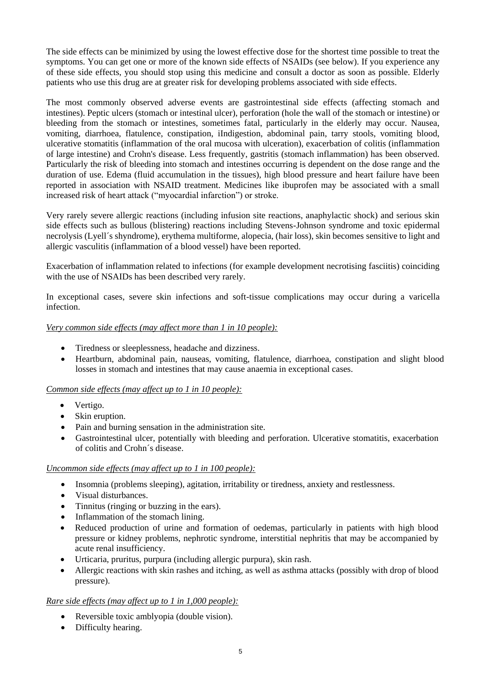The side effects can be minimized by using the lowest effective dose for the shortest time possible to treat the symptoms. You can get one or more of the known side effects of NSAIDs (see below). If you experience any of these side effects, you should stop using this medicine and consult a doctor as soon as possible. Elderly patients who use this drug are at greater risk for developing problems associated with side effects.

The most commonly observed adverse events are gastrointestinal side effects (affecting stomach and intestines). Peptic ulcers (stomach or intestinal ulcer), perforation (hole the wall of the stomach or intestine) or bleeding from the stomach or intestines, sometimes fatal, particularly in the elderly may occur. Nausea, vomiting, diarrhoea, flatulence, constipation, iIndigestion, abdominal pain, tarry stools, vomiting blood, ulcerative stomatitis (inflammation of the oral mucosa with ulceration), exacerbation of colitis (inflammation of large intestine) and Crohn's disease. Less frequently, gastritis (stomach inflammation) has been observed. Particularly the risk of bleeding into stomach and intestines occurring is dependent on the dose range and the duration of use. Edema (fluid accumulation in the tissues), high blood pressure and heart failure have been reported in association with NSAID treatment. Medicines like ibuprofen may be associated with a small increased risk of heart attack ("myocardial infarction") or stroke.

Very rarely severe allergic reactions (including infusion site reactions, anaphylactic shock) and serious skin side effects such as bullous (blistering) reactions including Stevens-Johnson syndrome and toxic epidermal necrolysis (Lyell´s shyndrome), erythema multiforme, alopecia, (hair loss), skin becomes sensitive to light and allergic vasculitis (inflammation of a blood vessel) have been reported.

Exacerbation of inflammation related to infections (for example development necrotising fasciitis) coinciding with the use of NSAIDs has been described very rarely.

In exceptional cases, severe skin infections and soft-tissue complications may occur during a varicella infection.

## *Very common side effects (may affect more than 1 in 10 people):*

- Tiredness or sleeplessness, headache and dizziness.
- Heartburn, abdominal pain, nauseas, vomiting, flatulence, diarrhoea, constipation and slight blood losses in stomach and intestines that may cause anaemia in exceptional cases.

#### *Common side effects (may affect up to 1 in 10 people):*

- Vertigo.
- Skin eruption.
- Pain and burning sensation in the administration site.
- Gastrointestinal ulcer, potentially with bleeding and perforation. Ulcerative stomatitis, exacerbation of colitis and Crohn´s disease.

#### *Uncommon side effects (may affect up to 1 in 100 people):*

- Insomnia (problems sleeping), agitation, irritability or tiredness, anxiety and restlessness.
- Visual disturbances.
- Tinnitus (ringing or buzzing in the ears).
- Inflammation of the stomach lining.
- Reduced production of urine and formation of oedemas, particularly in patients with high blood pressure or kidney problems, nephrotic syndrome, interstitial nephritis that may be accompanied by acute renal insufficiency.
- Urticaria, pruritus, purpura (including allergic purpura), skin rash.
- Allergic reactions with skin rashes and itching, as well as asthma attacks (possibly with drop of blood pressure).

#### *Rare side effects (may affect up to 1 in 1,000 people):*

- Reversible toxic amblyopia (double vision).
- Difficulty hearing.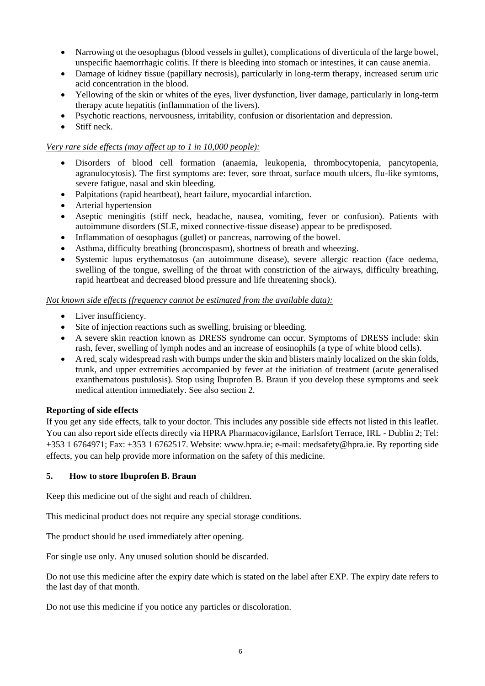- Narrowing ot the oesophagus (blood vessels in gullet), complications of diverticula of the large bowel, unspecific haemorrhagic colitis. If there is bleeding into stomach or intestines, it can cause anemia.
- Damage of kidney tissue (papillary necrosis), particularly in long-term therapy, increased serum uric acid concentration in the blood.
- Yellowing of the skin or whites of the eyes, liver dysfunction, liver damage, particularly in long-term therapy acute hepatitis (inflammation of the livers).
- Psychotic reactions, nervousness, irritability, confusion or disorientation and depression.
- Stiff neck.

#### *Very rare side effects (may affect up to 1 in 10,000 people):*

- Disorders of blood cell formation (anaemia, leukopenia, thrombocytopenia, pancytopenia, agranulocytosis). The first symptoms are: fever, sore throat, surface mouth ulcers, flu-like symtoms, severe fatigue, nasal and skin bleeding.
- Palpitations (rapid heartbeat), heart failure, myocardial infarction.
- Arterial hypertension
- Aseptic meningitis (stiff neck, headache, nausea, vomiting, fever or confusion). Patients with autoimmune disorders (SLE, mixed connective-tissue disease) appear to be predisposed.
- Inflammation of oesophagus (gullet) or pancreas, narrowing of the bowel.
- Asthma, difficulty breathing (broncospasm), shortness of breath and wheezing.
- Systemic lupus erythematosus (an autoimmune disease), severe allergic reaction (face oedema, swelling of the tongue, swelling of the throat with constriction of the airways, difficulty breathing, rapid heartbeat and decreased blood pressure and life threatening shock).

#### *Not known side effects (frequency cannot be estimated from the available data):*

- Liver insufficiency.
- Site of injection reactions such as swelling, bruising or bleeding.
- A severe skin reaction known as DRESS syndrome can occur. Symptoms of DRESS include: skin rash, fever, swelling of lymph nodes and an increase of eosinophils (a type of white blood cells).
- A red, scaly widespread rash with bumps under the skin and blisters mainly localized on the skin folds, trunk, and upper extremities accompanied by fever at the initiation of treatment (acute generalised exanthematous pustulosis). Stop using Ibuprofen B. Braun if you develop these symptoms and seek medical attention immediately. See also section 2.

#### **Reporting of side effects**

If you get any side effects, talk to your doctor. This includes any possible side effects not listed in this leaflet. You can also report side effects directly via HPRA Pharmacovigilance, Earlsfort Terrace, IRL - Dublin 2; Tel: +353 1 6764971; Fax: +353 1 6762517. Website: [www.hpra.ie;](http://www.hpra.ie/) e-mail[: medsafety@hpra.ie.](mailto:medsafety@hpra.ie) By reporting side effects, you can help provide more information on the safety of this medicine.

#### **5. How to store Ibuprofen B. Braun**

Keep this medicine out of the sight and reach of children.

This medicinal product does not require any special storage conditions.

The product should be used immediately after opening.

For single use only. Any unused solution should be discarded.

Do not use this medicine after the expiry date which is stated on the label after EXP. The expiry date refers to the last day of that month.

Do not use this medicine if you notice any particles or discoloration.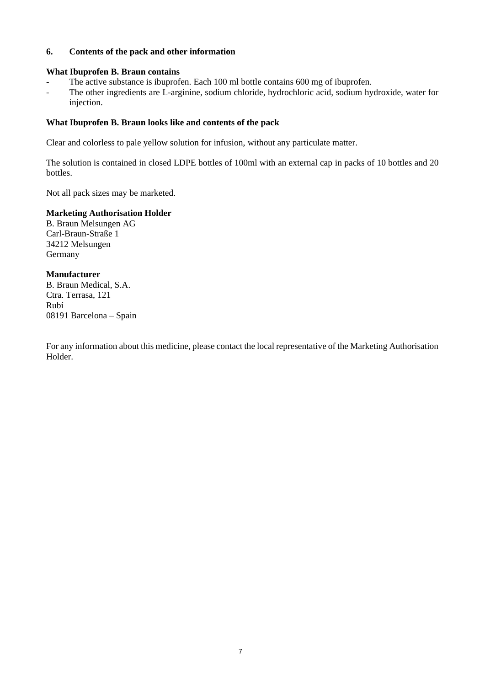# **6. Contents of the pack and other information**

#### **What Ibuprofen B. Braun contains**

- The active substance is ibuprofen. Each 100 ml bottle contains 600 mg of ibuprofen.
- The other ingredients are L-arginine, sodium chloride, hydrochloric acid, sodium hydroxide, water for injection.

## **What Ibuprofen B. Braun looks like and contents of the pack**

Clear and colorless to pale yellow solution for infusion, without any particulate matter.

The solution is contained in closed LDPE bottles of 100ml with an external cap in packs of 10 bottles and 20 bottles.

Not all pack sizes may be marketed.

# **Marketing Authorisation Holder**

B. Braun Melsungen AG Carl-Braun-Straße 1 34212 Melsungen Germany

## **Manufacturer**

B. Braun Medical, S.A. Ctra. Terrasa, 121 Rubí 08191 Barcelona – Spain

For any information about this medicine, please contact the local representative of the Marketing Authorisation Holder.